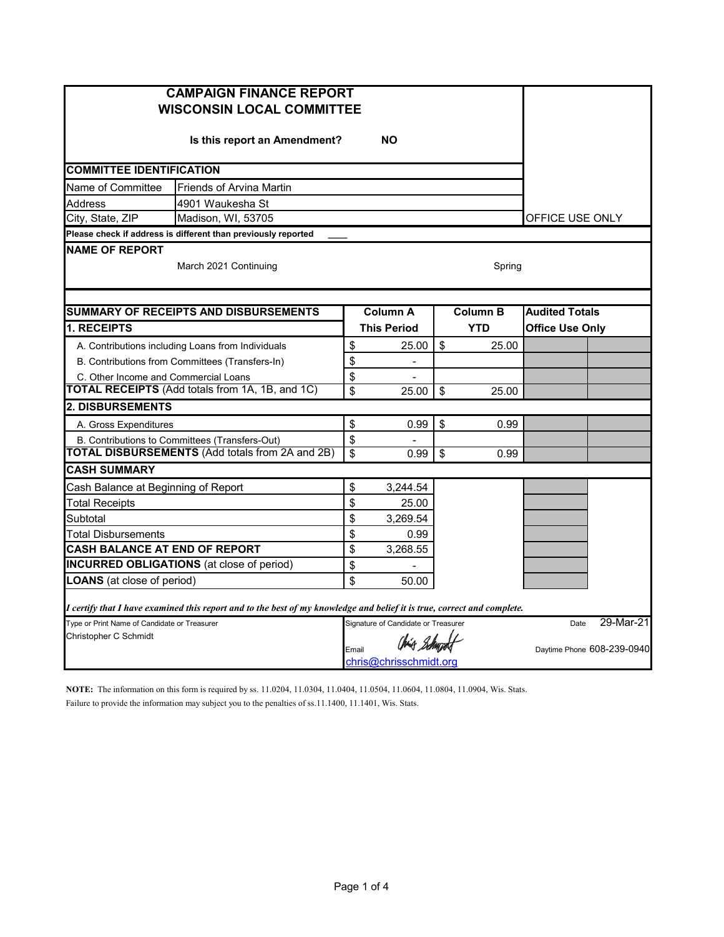| <b>CAMPAIGN FINANCE REPORT</b><br><b>WISCONSIN LOCAL COMMITTEE</b> |                                                                                                                         |                                                 |                                     |                 |            |                            |           |  |  |
|--------------------------------------------------------------------|-------------------------------------------------------------------------------------------------------------------------|-------------------------------------------------|-------------------------------------|-----------------|------------|----------------------------|-----------|--|--|
|                                                                    | Is this report an Amendment?                                                                                            |                                                 | <b>NO</b>                           |                 |            |                            |           |  |  |
| <b>COMMITTEE IDENTIFICATION</b>                                    |                                                                                                                         |                                                 |                                     |                 |            |                            |           |  |  |
| Name of Committee                                                  | <b>Friends of Arvina Martin</b>                                                                                         |                                                 |                                     |                 |            |                            |           |  |  |
| Address                                                            | 4901 Waukesha St                                                                                                        |                                                 |                                     |                 |            |                            |           |  |  |
| City, State, ZIP                                                   | Madison, WI, 53705                                                                                                      |                                                 |                                     |                 |            | OFFICE USE ONLY            |           |  |  |
|                                                                    | Please check if address is different than previously reported                                                           |                                                 |                                     |                 |            |                            |           |  |  |
| <b>NAME OF REPORT</b>                                              | March 2021 Continuing<br>Spring                                                                                         |                                                 |                                     |                 |            |                            |           |  |  |
|                                                                    |                                                                                                                         |                                                 |                                     |                 |            |                            |           |  |  |
|                                                                    | <b>SUMMARY OF RECEIPTS AND DISBURSEMENTS</b>                                                                            |                                                 | <b>Column A</b>                     | <b>Column B</b> |            | <b>Audited Totals</b>      |           |  |  |
| 1. RECEIPTS                                                        |                                                                                                                         |                                                 | <b>This Period</b>                  |                 | <b>YTD</b> | <b>Office Use Only</b>     |           |  |  |
|                                                                    | A. Contributions including Loans from Individuals                                                                       | \$                                              | 25.00                               | \$              | 25.00      |                            |           |  |  |
|                                                                    | B. Contributions from Committees (Transfers-In)                                                                         | \$                                              | $\frac{1}{2}$                       |                 |            |                            |           |  |  |
| C. Other Income and Commercial Loans                               |                                                                                                                         | \$                                              |                                     |                 |            |                            |           |  |  |
|                                                                    | TOTAL RECEIPTS (Add totals from 1A, 1B, and 1C)                                                                         | \$                                              | 25.00                               | \$              | 25.00      |                            |           |  |  |
| <b>2. DISBURSEMENTS</b>                                            |                                                                                                                         |                                                 |                                     |                 |            |                            |           |  |  |
| A. Gross Expenditures                                              |                                                                                                                         | \$                                              | 0.99                                | \$              | 0.99       |                            |           |  |  |
|                                                                    | B. Contributions to Committees (Transfers-Out)                                                                          | \$                                              |                                     |                 |            |                            |           |  |  |
|                                                                    | <b>TOTAL DISBURSEMENTS (Add totals from 2A and 2B)</b>                                                                  | \$                                              | 0.99                                | \$              | 0.99       |                            |           |  |  |
| <b>CASH SUMMARY</b>                                                |                                                                                                                         |                                                 |                                     |                 |            |                            |           |  |  |
| Cash Balance at Beginning of Report                                |                                                                                                                         | \$                                              | 3,244.54                            |                 |            |                            |           |  |  |
| <b>Total Receipts</b>                                              |                                                                                                                         | \$                                              | 25.00                               |                 |            |                            |           |  |  |
| Subtotal                                                           |                                                                                                                         | \$                                              | 3,269.54                            |                 |            |                            |           |  |  |
| Total Disbursements                                                |                                                                                                                         | \$                                              | 0.99                                |                 |            |                            |           |  |  |
| <b>CASH BALANCE AT END OF REPORT</b>                               |                                                                                                                         | \$                                              | 3.268.55                            |                 |            |                            |           |  |  |
| <b>INCURRED OBLIGATIONS</b> (at close of period)                   | \$                                                                                                                      |                                                 |                                     |                 |            |                            |           |  |  |
| <b>LOANS</b> (at close of period)                                  |                                                                                                                         | \$                                              | 50.00                               |                 |            |                            |           |  |  |
|                                                                    | I certify that I have examined this report and to the best of my knowledge and belief it is true, correct and complete. |                                                 |                                     |                 |            |                            |           |  |  |
| Type or Print Name of Candidate or Treasurer                       |                                                                                                                         |                                                 | Signature of Candidate or Treasurer |                 |            | Date                       | 29-Mar-21 |  |  |
| Christopher C Schmidt                                              |                                                                                                                         | Chia Bohupot<br>Email<br>chris@chrisschmidt.org |                                     |                 |            | Daytime Phone 608-239-0940 |           |  |  |
|                                                                    |                                                                                                                         |                                                 |                                     |                 |            |                            |           |  |  |

**NOTE:** The information on this form is required by ss. 11.0204, 11.0304, 11.0404, 11.0504, 11.0604, 11.0804, 11.0904, Wis. Stats. Failure to provide the information may subject you to the penalties of ss.11.1400, 11.1401, Wis. Stats.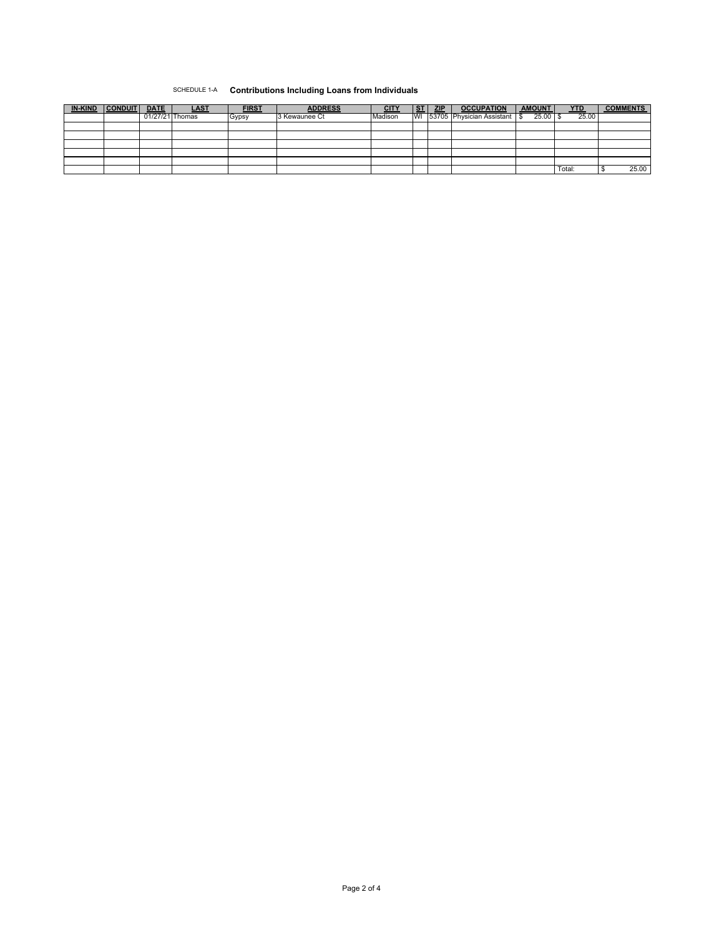## SCHEDULE 1-A **Contributions Including Loans from Individuals**

| <b>IN-KIND</b> | <b>CONDUIT</b> | <b>DATE</b>     | LAS <sup>T</sup> | <b>FIRST</b> | <b>ADDRESS</b> | <b>CITY</b> | <b>ST</b> | <b>ZIP</b> | <b>OCCUPATION</b>         | <b>AMOUNT</b> | <b>YTD</b> | <b>COMMENTS</b> |
|----------------|----------------|-----------------|------------------|--------------|----------------|-------------|-----------|------------|---------------------------|---------------|------------|-----------------|
|                |                | 01/27/21 Thomas |                  | Gypsy        | 3 Kewaunee Ct  | Madison     | WI        |            | 53705 Physician Assistant | 25.00         | 25.00      |                 |
|                |                |                 |                  |              |                |             |           |            |                           |               |            |                 |
|                |                |                 |                  |              |                |             |           |            |                           |               |            |                 |
|                |                |                 |                  |              |                |             |           |            |                           |               |            |                 |
|                |                |                 |                  |              |                |             |           |            |                           |               |            |                 |
|                |                |                 |                  |              |                |             |           |            |                           |               |            |                 |
|                |                |                 |                  |              |                |             |           |            |                           |               | Total:     | 25.00           |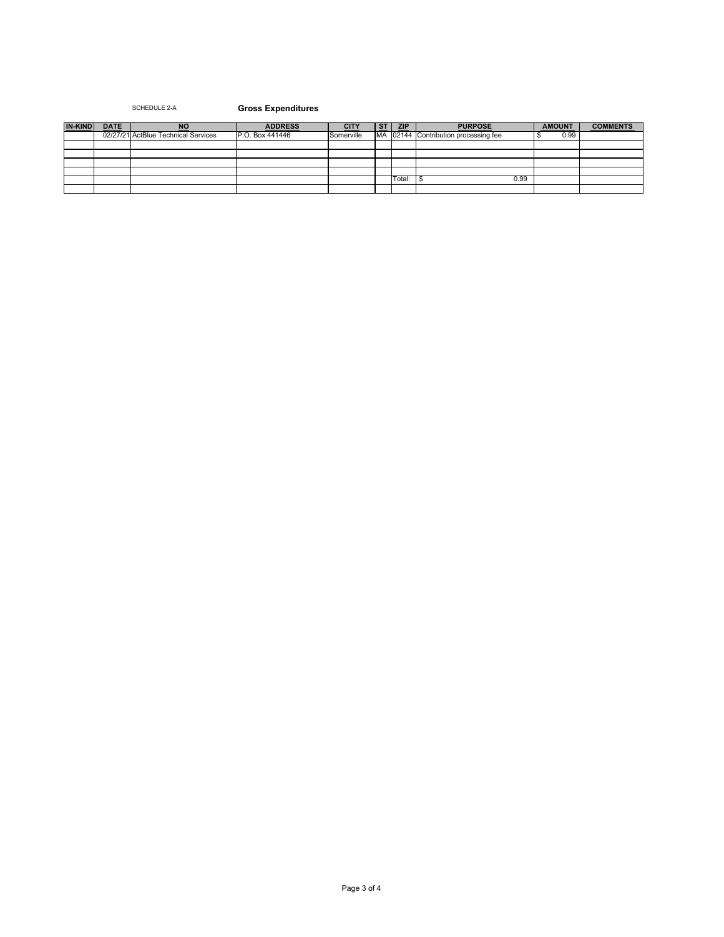## SCHEDULE 2-A **Gross Expenditures**

| <b>IN-KIND</b> | <b>DATE</b> | <b>NO</b>                           | <b>ADDRESS</b>  |            | <b>ST</b> | <b>ZIP</b> | <b>PURPOSE</b>                       | <b>AMOUNT</b> | <b>COMMENTS</b> |
|----------------|-------------|-------------------------------------|-----------------|------------|-----------|------------|--------------------------------------|---------------|-----------------|
|                |             | 02/27/21 ActBlue Technical Services | P.O. Box 441446 | Somerville |           |            | MA 02144 Contribution processing fee | 0.99          |                 |
|                |             |                                     |                 |            |           |            |                                      |               |                 |
|                |             |                                     |                 |            |           |            |                                      |               |                 |
|                |             |                                     |                 |            |           |            |                                      |               |                 |
|                |             |                                     |                 |            |           |            |                                      |               |                 |
|                |             |                                     |                 |            |           | Total:     | 0.99                                 |               |                 |
|                |             |                                     |                 |            |           |            |                                      |               |                 |